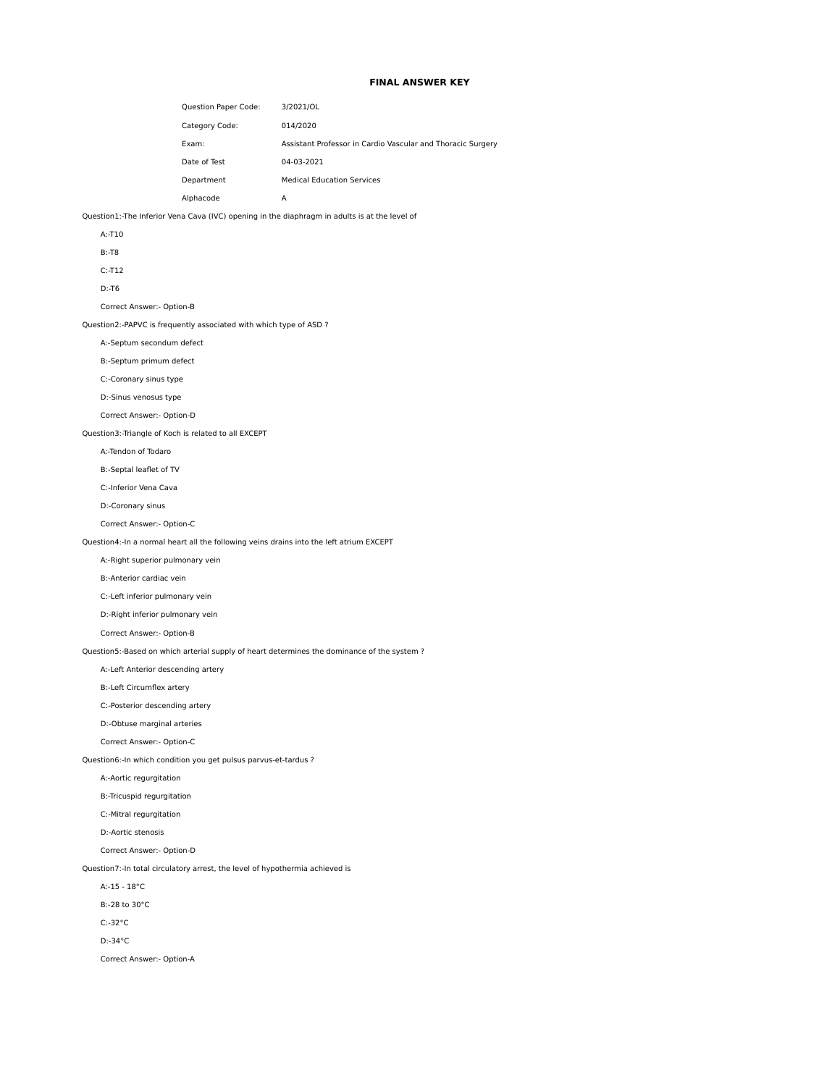# **FINAL ANSWER KEY**

| Question Paper Code: | 3/2021/OL                                                   |
|----------------------|-------------------------------------------------------------|
| Category Code:       | 014/2020                                                    |
| Exam:                | Assistant Professor in Cardio Vascular and Thoracic Surgery |
| Date of Test         | 04-03-2021                                                  |
| Department           | <b>Medical Education Services</b>                           |
| Alphacode            | А                                                           |

Question1:-The Inferior Vena Cava (IVC) opening in the diaphragm in adults is at the level of

|  | $\sim$ |
|--|--------|

B:-T8

C:-T12

D:-T6

Correct Answer:- Option-B

Question2:-PAPVC is frequently associated with which type of ASD ?

A:-Septum secondum defect

B:-Septum primum defect

C:-Coronary sinus type

D:-Sinus venosus type

Correct Answer:- Option-D

Question3:-Triangle of Koch is related to all EXCEPT

A:-Tendon of Todaro

B:-Septal leaflet of TV

C:-Inferior Vena Cava

D:-Coronary sinus

Correct Answer:- Option-C

Question4:-In a normal heart all the following veins drains into the left atrium EXCEPT

A:-Right superior pulmonary vein

B:-Anterior cardiac vein

C:-Left inferior pulmonary vein

D:-Right inferior pulmonary vein

Correct Answer:- Option-B

Question5:-Based on which arterial supply of heart determines the dominance of the system ?

A:-Left Anterior descending artery

B:-Left Circumflex artery

C:-Posterior descending artery

D:-Obtuse marginal arteries

Correct Answer:- Option-C

Question6:-In which condition you get pulsus parvus-et-tardus ?

A:-Aortic regurgitation

B:-Tricuspid regurgitation

C:-Mitral regurgitation

D:-Aortic stenosis

Correct Answer:- Option-D

Question7:-In total circulatory arrest, the level of hypothermia achieved is

A:-15 - 18°C

B:-28 to 30°C

C:-32°C

D:-34°C

Correct Answer:- Option-A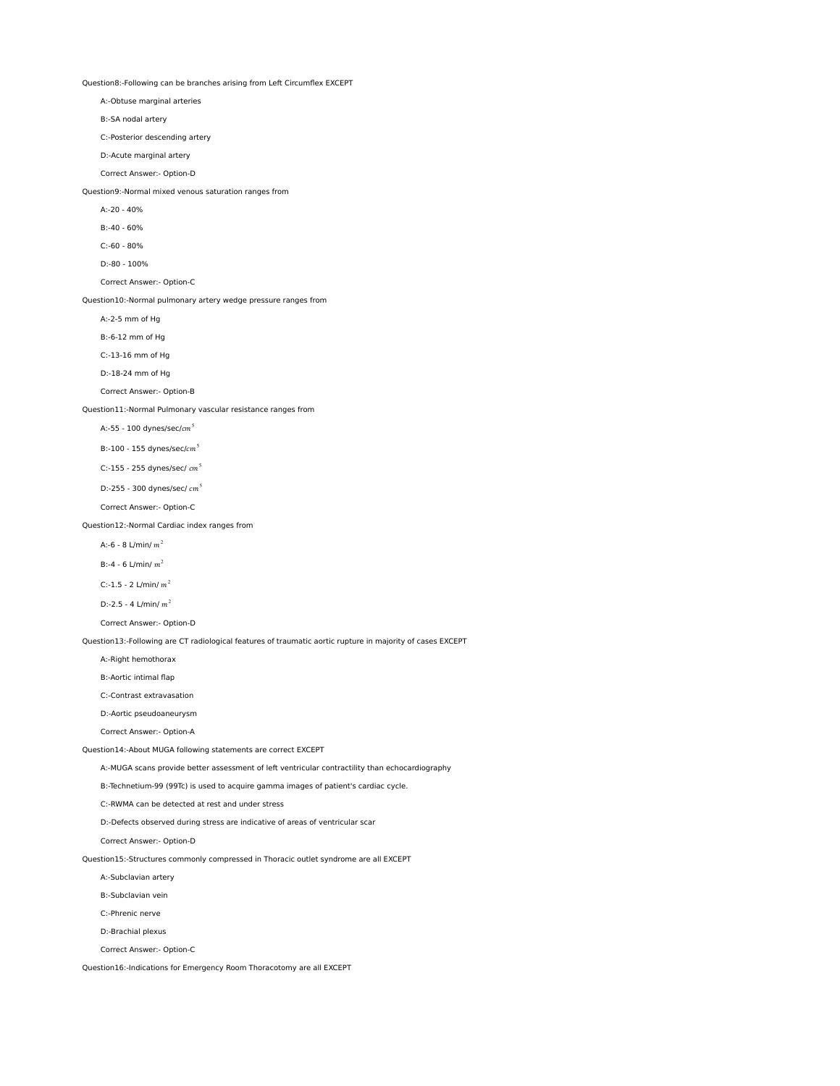Question8:-Following can be branches arising from Left Circumflex EXCEPT

A:-Obtuse marginal arteries

B:-SA nodal artery

C:-Posterior descending artery

D:-Acute marginal artery

Correct Answer:- Option-D

Question9:-Normal mixed venous saturation ranges from

A:-20 - 40%

B:-40 - 60%

C:-60 - 80%

D:-80 - 100%

Correct Answer:- Option-C

Question10:-Normal pulmonary artery wedge pressure ranges from

A:-2-5 mm of Hg

B:-6-12 mm of Hg

C:-13-16 mm of Hg

D:-18-24 mm of Hg

Correct Answer:- Option-B

Question11:-Normal Pulmonary vascular resistance ranges from

A:-55 - 100 dynes/sec/ $cm^5$ 

B:-100 - 155 dynes/sec/ $cm^5$ 

C:-155 - 255 dynes/sec/  $cm<sup>5</sup>$ 

D:-255 - 300 dynes/sec/  $cm<sup>5</sup>$ 

Correct Answer:- Option-C

Question12:-Normal Cardiac index ranges from

A:-6 - 8 L/min/ $m^2$ 

B:-4 - 6 L/min/  $m^2$ 

C:-1.5 - 2  $L/min/m^2$ 

D:-2.5 - 4 L/min/  $m^2$ 

Correct Answer:- Option-D

Question13:-Following are CT radiological features of traumatic aortic rupture in majority of cases EXCEPT

A:-Right hemothorax

B:-Aortic intimal flap

C:-Contrast extravasation

D:-Aortic pseudoaneurysm

Correct Answer:- Option-A

Question14:-About MUGA following statements are correct EXCEPT

A:-MUGA scans provide better assessment of left ventricular contractility than echocardiography

B:-Technetium-99 (99Tc) is used to acquire gamma images of patient's cardiac cycle.

C:-RWMA can be detected at rest and under stress

D:-Defects observed during stress are indicative of areas of ventricular scar

Correct Answer:- Option-D

Question15:-Structures commonly compressed in Thoracic outlet syndrome are all EXCEPT

A:-Subclavian artery

B:-Subclavian vein

C:-Phrenic nerve

D:-Brachial plexus

Correct Answer:- Option-C

Question16:-Indications for Emergency Room Thoracotomy are all EXCEPT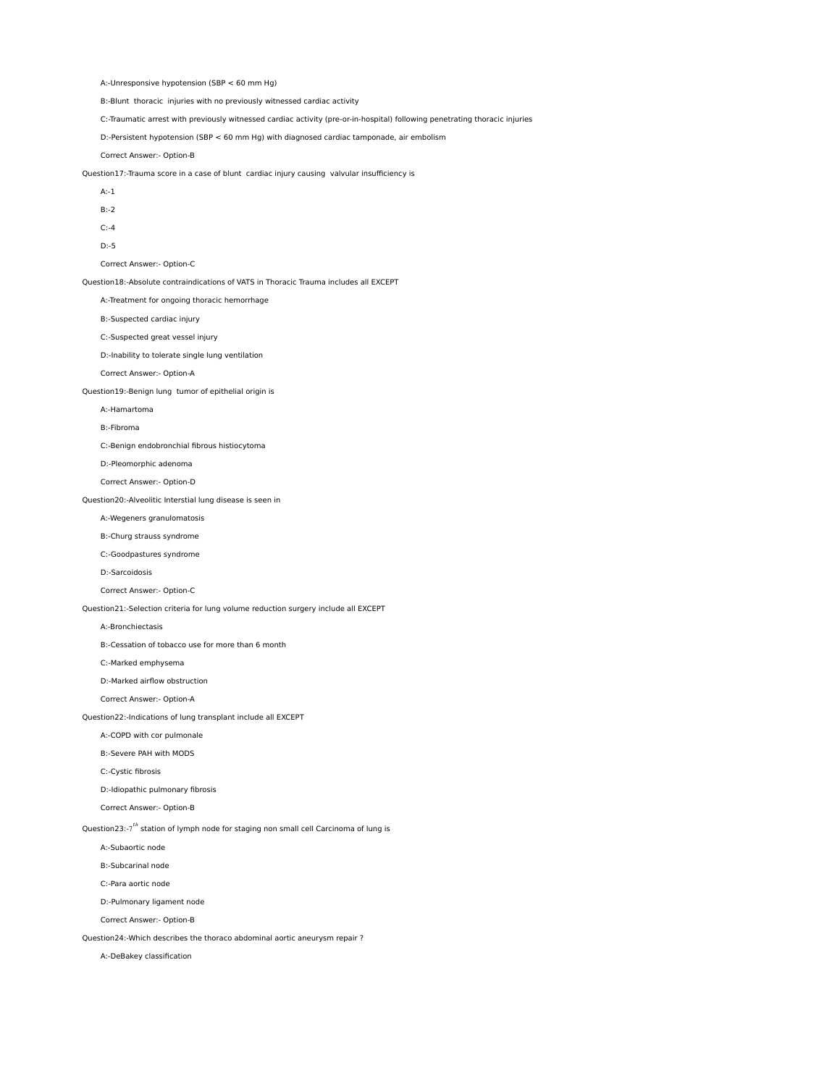A:-Unresponsive hypotension (SBP < 60 mm Hg)

B:-Blunt thoracic injuries with no previously witnessed cardiac activity

C:-Traumatic arrest with previously witnessed cardiac activity (pre-or-in-hospital) following penetrating thoracic injuries

D:-Persistent hypotension (SBP < 60 mm Hg) with diagnosed cardiac tamponade, air embolism

Correct Answer:- Option-B

Question17:-Trauma score in a case of blunt cardiac injury causing valvular insufficiency is

- A:-1
- B:-2
- C:-4
- D:-5

# Correct Answer:- Option-C

Question18:-Absolute contraindications of VATS in Thoracic Trauma includes all EXCEPT

A:-Treatment for ongoing thoracic hemorrhage

B:-Suspected cardiac injury

C:-Suspected great vessel injury

D:-Inability to tolerate single lung ventilation

Correct Answer:- Option-A

# Question19:-Benign lung tumor of epithelial origin is

A:-Hamartoma

B:-Fibroma

C:-Benign endobronchial fibrous histiocytoma

D:-Pleomorphic adenoma

Correct Answer:- Option-D

# Question20:-Alveolitic Interstial lung disease is seen in

A:-Wegeners granulomatosis

B:-Churg strauss syndrome

C:-Goodpastures syndrome

#### D:-Sarcoidosis

Correct Answer:- Option-C

Question21:-Selection criteria for lung volume reduction surgery include all EXCEPT

# A:-Bronchiectasis

B:-Cessation of tobacco use for more than 6 month

C:-Marked emphysema

D:-Marked airflow obstruction

# Correct Answer:- Option-A

Question22:-Indications of lung transplant include all EXCEPT

A:-COPD with cor pulmonale

B:-Severe PAH with MODS

C:-Cystic fibrosis

- D:-Idiopathic pulmonary fibrosis
- Correct Answer:- Option-B

Question23:-7<sup>th</sup> station of lymph node for staging non small cell Carcinoma of lung is

- A:-Subaortic node
- B:-Subcarinal node
- C:-Para aortic node

D:-Pulmonary ligament node

Correct Answer:- Option-B

Question24:-Which describes the thoraco abdominal aortic aneurysm repair ?

A:-DeBakey classification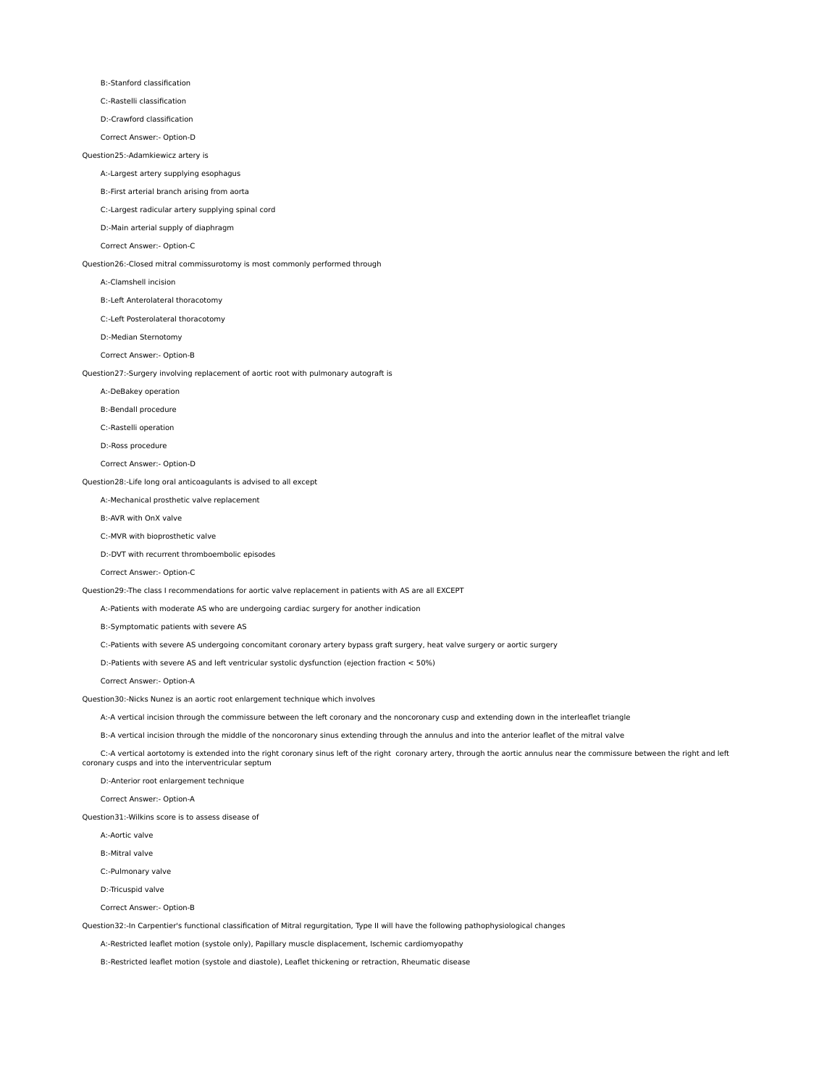B:-Stanford classification

C:-Rastelli classification

D:-Crawford classification

Correct Answer:- Option-D

#### Question25:-Adamkiewicz artery is

A:-Largest artery supplying esophagus

B:-First arterial branch arising from aorta

C:-Largest radicular artery supplying spinal cord

D:-Main arterial supply of diaphragm

Correct Answer:- Option-C

Question26:-Closed mitral commissurotomy is most commonly performed through

A:-Clamshell incision

B:-Left Anterolateral thoracotomy

C:-Left Posterolateral thoracotomy

D:-Median Sternotomy

Correct Answer:- Option-B

Question27:-Surgery involving replacement of aortic root with pulmonary autograft is

A:-DeBakey operation

B:-Bendall procedure

C:-Rastelli operation

D:-Ross procedure

Correct Answer:- Option-D

Question28:-Life long oral anticoagulants is advised to all except

A:-Mechanical prosthetic valve replacement

B:-AVR with OnX valve

C:-MVR with bioprosthetic valve

D:-DVT with recurrent thromboembolic episodes

Correct Answer:- Option-C

Question29:-The class I recommendations for aortic valve replacement in patients with AS are all EXCEPT

A:-Patients with moderate AS who are undergoing cardiac surgery for another indication

B:-Symptomatic patients with severe AS

C:-Patients with severe AS undergoing concomitant coronary artery bypass graft surgery, heat valve surgery or aortic surgery

D:-Patients with severe AS and left ventricular systolic dysfunction (ejection fraction < 50%)

Correct Answer:- Option-A

Question30:-Nicks Nunez is an aortic root enlargement technique which involves

A:-A vertical incision through the commissure between the left coronary and the noncoronary cusp and extending down in the interleaflet triangle

B:-A vertical incision through the middle of the noncoronary sinus extending through the annulus and into the anterior leaflet of the mitral valve

C:-A vertical aortotomy is extended into the right coronary sinus left of the right coronary artery, through the aortic annulus near the commissure between the right and left<br>Coronary cusps and into the interventricular se

D:-Anterior root enlargement technique

Correct Answer:- Option-A

Question31:-Wilkins score is to assess disease of

A:-Aortic valve

B:-Mitral valve

C:-Pulmonary valve

D:-Tricuspid valve

Correct Answer:- Option-B

Question32:-In Carpentier's functional classification of Mitral regurgitation, Type II will have the following pathophysiological changes

A:-Restricted leaflet motion (systole only), Papillary muscle displacement, Ischemic cardiomyopathy

B:-Restricted leaflet motion (systole and diastole), Leaflet thickening or retraction, Rheumatic disease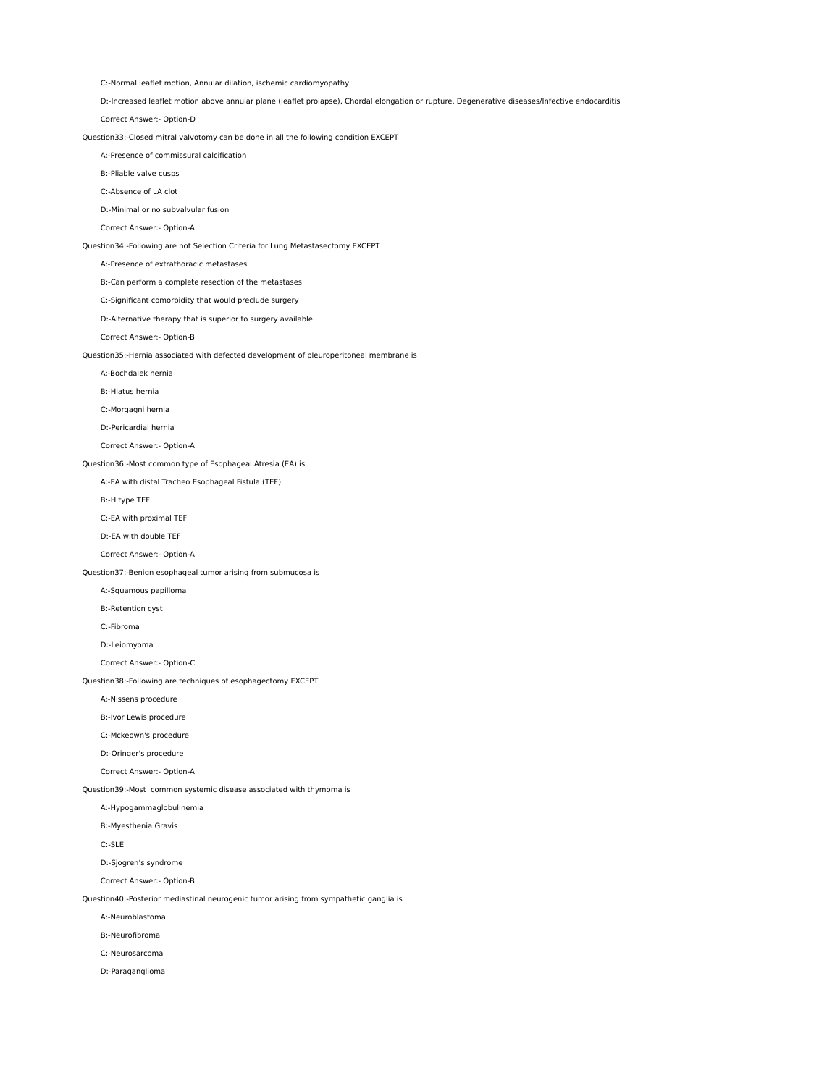C:-Normal leaflet motion, Annular dilation, ischemic cardiomyopathy

D:-Increased leaflet motion above annular plane (leaflet prolapse), Chordal elongation or rupture, Degenerative diseases/Infective endocarditis

Correct Answer:- Option-D

# Question33:-Closed mitral valvotomy can be done in all the following condition EXCEPT

A:-Presence of commissural calcification

B:-Pliable valve cusps

C:-Absence of LA clot

D:-Minimal or no subvalvular fusion

Correct Answer:- Option-A

#### Question34:-Following are not Selection Criteria for Lung Metastasectomy EXCEPT

# A:-Presence of extrathoracic metastases

B:-Can perform a complete resection of the metastases

C:-Significant comorbidity that would preclude surgery

D:-Alternative therapy that is superior to surgery available

Correct Answer:- Option-B

Question35:-Hernia associated with defected development of pleuroperitoneal membrane is

A:-Bochdalek hernia

B:-Hiatus hernia

C:-Morgagni hernia

D:-Pericardial hernia

# Correct Answer:- Option-A

Question36:-Most common type of Esophageal Atresia (EA) is

A:-EA with distal Tracheo Esophageal Fistula (TEF)

B:-H type TEF

C:-EA with proximal TEF

D:-EA with double TEF

Correct Answer:- Option-A

# Question37:-Benign esophageal tumor arising from submucosa is

A:-Squamous papilloma

B:-Retention cyst

C:-Fibroma

D:-Leiomyoma

Correct Answer:- Option-C

# Question38:-Following are techniques of esophagectomy EXCEPT

A:-Nissens procedure

B:-Ivor Lewis procedure

C:-Mckeown's procedure

D:-Oringer's procedure

Correct Answer:- Option-A

Question39:-Most common systemic disease associated with thymoma is

# A:-Hypogammaglobulinemia

B:-Myesthenia Gravis

C:-SLE

D:-Sjogren's syndrome

Correct Answer:- Option-B

Question40:-Posterior mediastinal neurogenic tumor arising from sympathetic ganglia is

A:-Neuroblastoma

B:-Neurofibroma

C:-Neurosarcoma

D:-Paraganglioma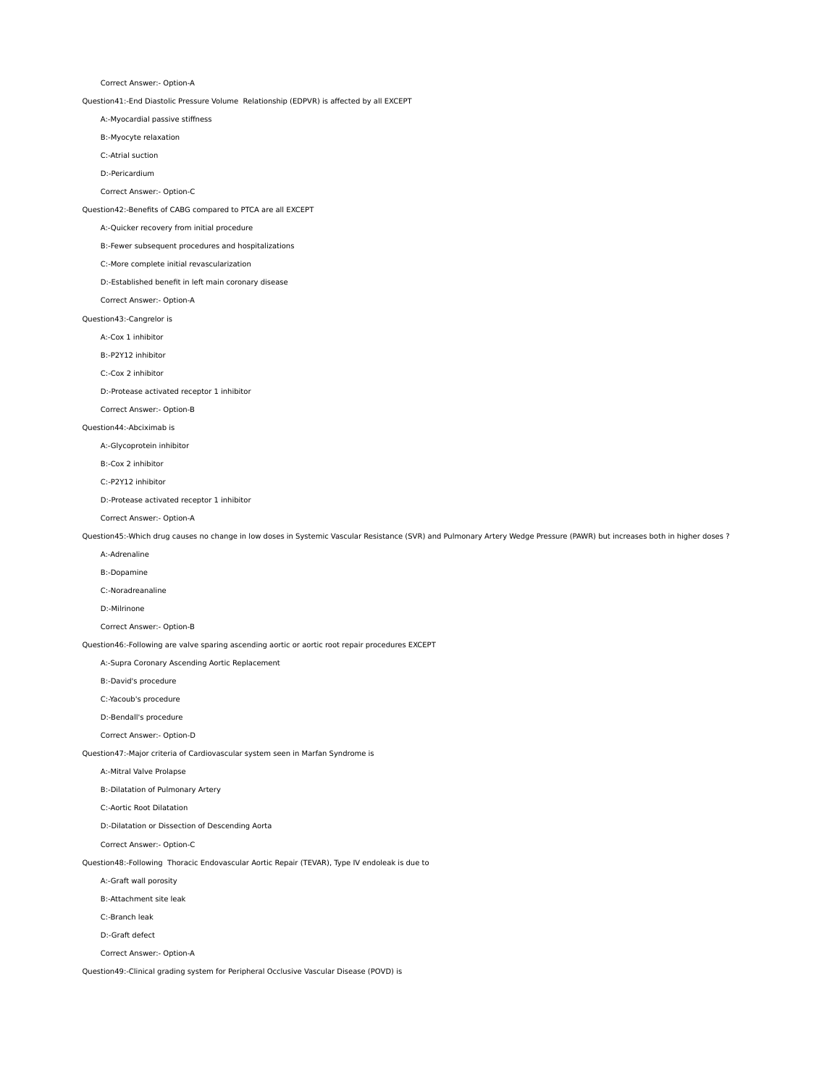Correct Answer:- Option-A

Question41:-End Diastolic Pressure Volume Relationship (EDPVR) is affected by all EXCEPT

A:-Myocardial passive stiffness

B:-Myocyte relaxation

C:-Atrial suction

D:-Pericardium

Correct Answer:- Option-C

Question42:-Benefits of CABG compared to PTCA are all EXCEPT

A:-Quicker recovery from initial procedure

B:-Fewer subsequent procedures and hospitalizations

C:-More complete initial revascularization

D:-Established benefit in left main coronary disease

Correct Answer:- Option-A

Question43:-Cangrelor is

A:-Cox 1 inhibitor

B:-P2Y12 inhibitor

C:-Cox 2 inhibitor

D:-Protease activated receptor 1 inhibitor

Correct Answer:- Option-B

Question44:-Abciximab is

A:-Glycoprotein inhibitor

B:-Cox 2 inhibitor

C:-P2Y12 inhibitor

D:-Protease activated receptor 1 inhibitor

Correct Answer:- Option-A

Question45:-Which drug causes no change in low doses in Systemic Vascular Resistance (SVR) and Pulmonary Artery Wedge Pressure (PAWR) but increases both in higher doses ?

A:-Adrenaline

B:-Dopamine

C:-Noradreanaline

D:-Milrinone

Correct Answer:- Option-B

Question46:-Following are valve sparing ascending aortic or aortic root repair procedures EXCEPT

A:-Supra Coronary Ascending Aortic Replacement

B:-David's procedure

C:-Yacoub's procedure

D:-Bendall's procedure

Correct Answer:- Option-D

Question47:-Major criteria of Cardiovascular system seen in Marfan Syndrome is

A:-Mitral Valve Prolapse

B:-Dilatation of Pulmonary Artery

C:-Aortic Root Dilatation

D:-Dilatation or Dissection of Descending Aorta

Correct Answer:- Option-C

Question48:-Following Thoracic Endovascular Aortic Repair (TEVAR), Type IV endoleak is due to

A:-Graft wall porosity

B:-Attachment site leak

C:-Branch leak

D:-Graft defect

Correct Answer:- Option-A

Question49:-Clinical grading system for Peripheral Occlusive Vascular Disease (POVD) is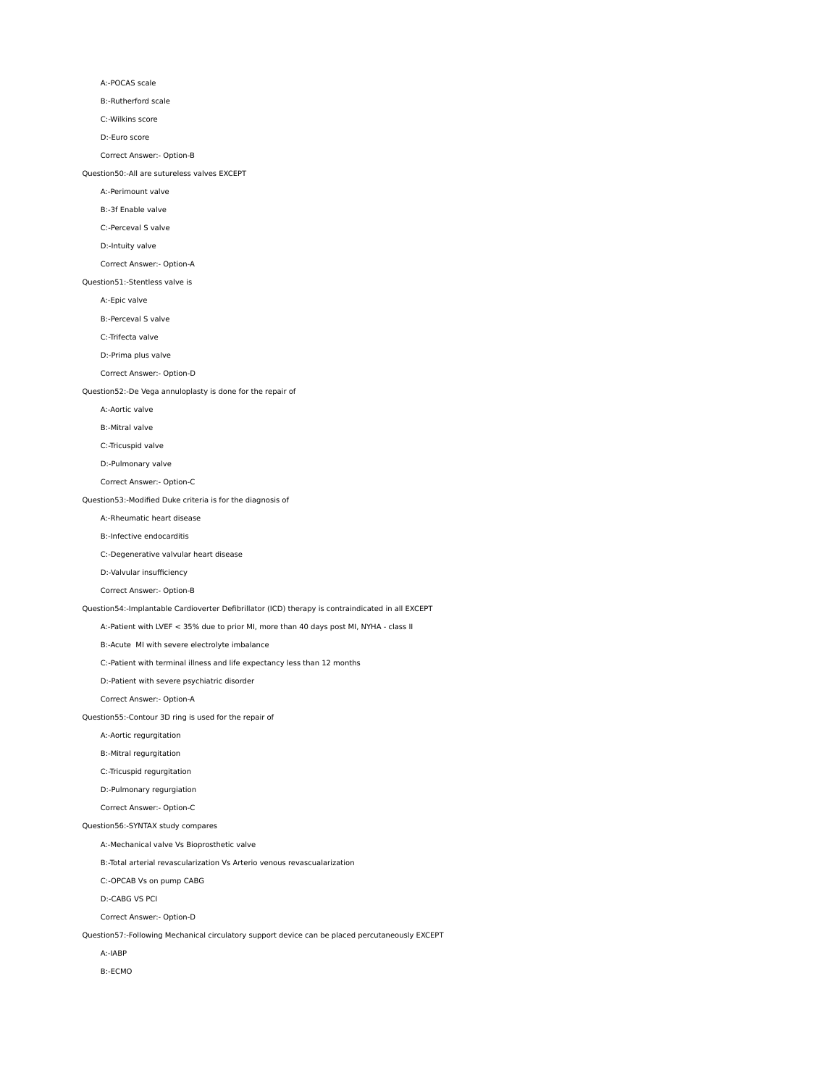#### A:-POCAS scale

B:-Rutherford scale

# C:-Wilkins score

D:-Euro score

## Correct Answer:- Option-B

Question50:-All are sutureless valves EXCEPT

#### A:-Perimount valve

B:-3f Enable valve

C:-Perceval S valve

# D:-Intuity valve

# Correct Answer:- Option-A

## Question51:-Stentless valve is

A:-Epic valve

B:-Perceval S valve

# C:-Trifecta valve

D:-Prima plus valve

# Correct Answer:- Option-D

# Question52:-De Vega annuloplasty is done for the repair of

A:-Aortic valve

B:-Mitral valve

# C:-Tricuspid valve

D:-Pulmonary valve

# Correct Answer:- Option-C

# Question53:-Modified Duke criteria is for the diagnosis of

A:-Rheumatic heart disease

# B:-Infective endocarditis

C:-Degenerative valvular heart disease

D:-Valvular insufficiency

# Correct Answer:- Option-B

# Question54:-Implantable Cardioverter Defibrillator (ICD) therapy is contraindicated in all EXCEPT

A:-Patient with LVEF < 35% due to prior MI, more than 40 days post MI, NYHA - class II

#### B:-Acute MI with severe electrolyte imbalance

C:-Patient with terminal illness and life expectancy less than 12 months

# D:-Patient with severe psychiatric disorder

Correct Answer:- Option-A

# Question55:-Contour 3D ring is used for the repair of

A:-Aortic regurgitation

# B:-Mitral regurgitation

C:-Tricuspid regurgitation

# D:-Pulmonary regurgiation

Correct Answer:- Option-C

#### Question56:-SYNTAX study compares

A:-Mechanical valve Vs Bioprosthetic valve

#### B:-Total arterial revascularization Vs Arterio venous revascualarization

C:-OPCAB Vs on pump CABG

#### D:-CABG VS PCI

Correct Answer:- Option-D

# Question57:-Following Mechanical circulatory support device can be placed percutaneously EXCEPT

A:-IABP

# B:-ECMO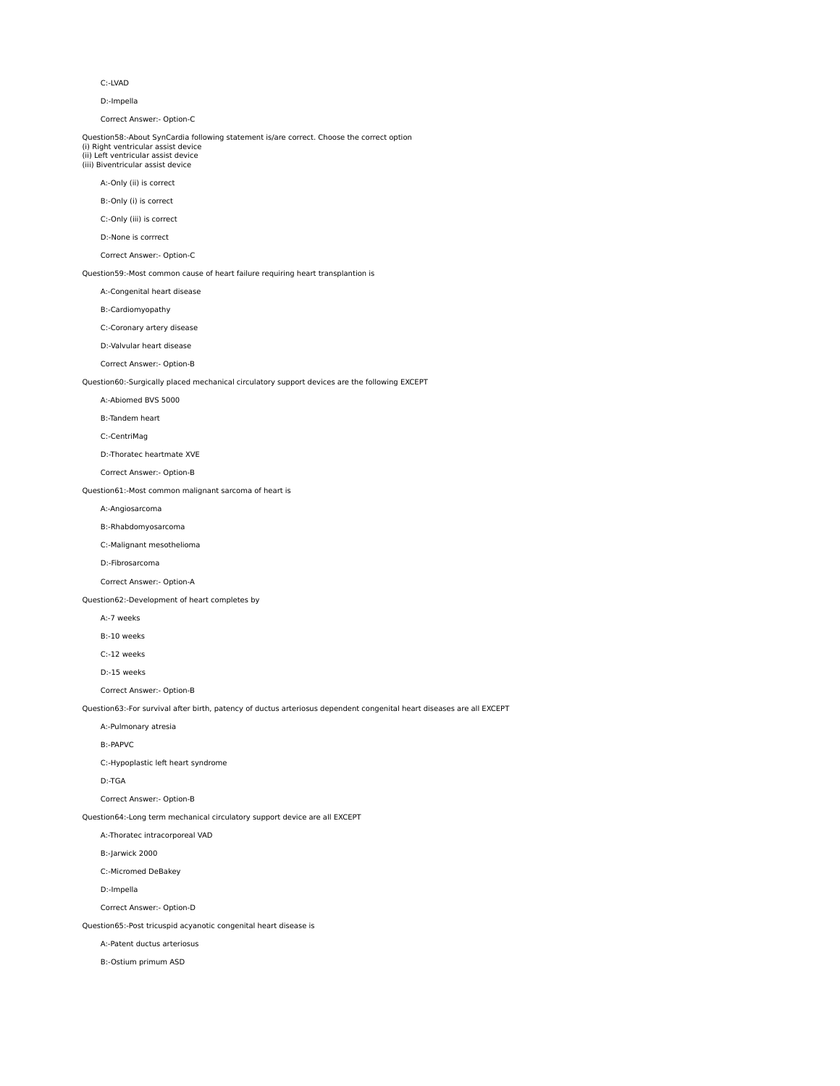#### C:-LVAD

D:-Impella

Correct Answer:- Option-C

#### Question58:-About SynCardia following statement is/are correct. Choose the correct option (i) Right ventricular assist device

(ii) Left ventricular assist device (iii) Biventricular assist device

A:-Only (ii) is correct

# B:-Only (i) is correct

C:-Only (iii) is correct

D:-None is corrrect

#### Correct Answer:- Option-C

#### Question59:-Most common cause of heart failure requiring heart transplantion is

A:-Congenital heart disease

## B:-Cardiomyopathy

C:-Coronary artery disease

#### D:-Valvular heart disease

Correct Answer:- Option-B

Question60:-Surgically placed mechanical circulatory support devices are the following EXCEPT

#### A:-Abiomed BVS 5000

B:-Tandem heart

# C:-CentriMag

D:-Thoratec heartmate XVE

# Correct Answer:- Option-B

# Question61:-Most common malignant sarcoma of heart is

A:-Angiosarcoma

#### B:-Rhabdomyosarcoma

C:-Malignant mesothelioma

#### D:-Fibrosarcoma

Correct Answer:- Option-A

### Question62:-Development of heart completes by

A:-7 weeks

### B:-10 weeks

C:-12 weeks

#### D:-15 weeks

Correct Answer:- Option-B

# Question63:-For survival after birth, patency of ductus arteriosus dependent congenital heart diseases are all EXCEPT

A:-Pulmonary atresia

## B:-PAPVC

C:-Hypoplastic left heart syndrome

#### D:-TGA

Correct Answer:- Option-B

## Question64:-Long term mechanical circulatory support device are all EXCEPT

A:-Thoratec intracorporeal VAD

# B:-Jarwick 2000

C:-Micromed DeBakey

### D:-Impella

Correct Answer:- Option-D

# Question65:-Post tricuspid acyanotic congenital heart disease is

A:-Patent ductus arteriosus

# B:-Ostium primum ASD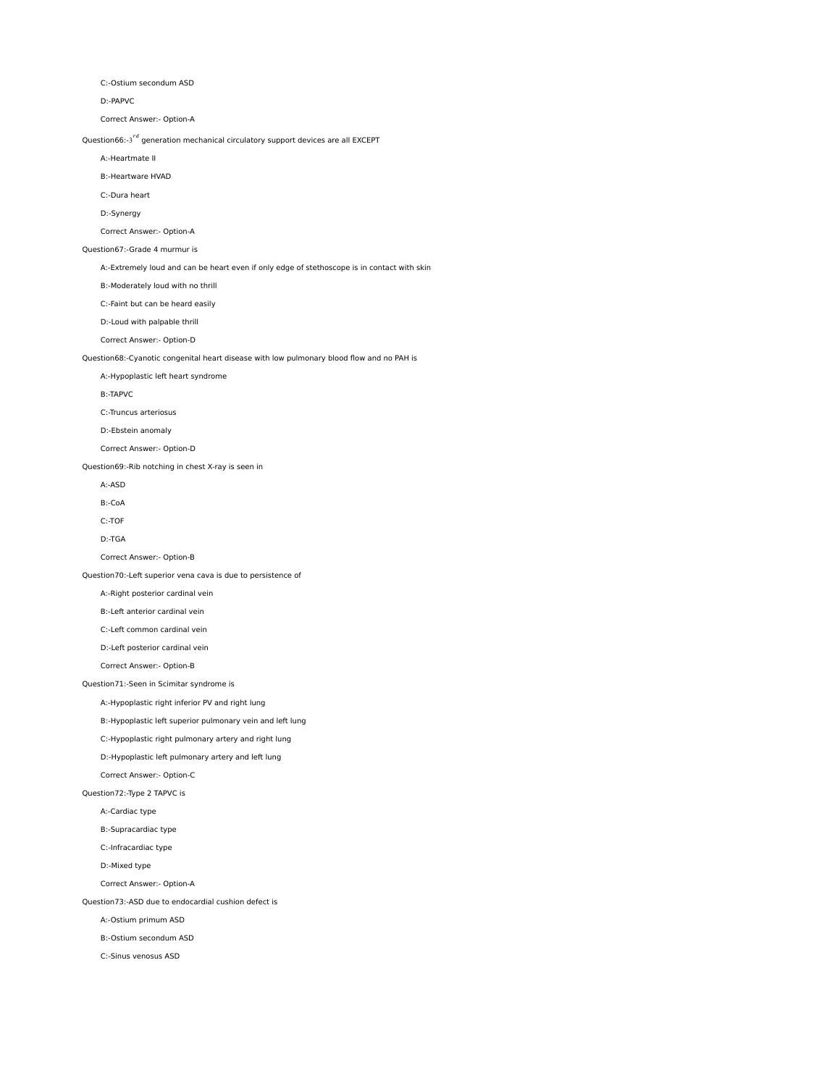C:-Ostium secondum ASD

D:-PAPVC

Correct Answer:- Option-A

Question66:-3 $^{rd}$  generation mechanical circulatory support devices are all EXCEPT

A:-Heartmate II

B:-Heartware HVAD

C:-Dura heart

D:-Synergy

Correct Answer:- Option-A

Question67:-Grade 4 murmur is

A:-Extremely loud and can be heart even if only edge of stethoscope is in contact with skin

B:-Moderately loud with no thrill

C:-Faint but can be heard easily

D:-Loud with palpable thrill

Correct Answer:- Option-D

Question68:-Cyanotic congenital heart disease with low pulmonary blood flow and no PAH is

A:-Hypoplastic left heart syndrome

B:-TAPVC

C:-Truncus arteriosus

D:-Ebstein anomaly

Correct Answer:- Option-D

Question69:-Rib notching in chest X-ray is seen in

A:-ASD

B:-CoA

C:-TOF

D:-TGA

Correct Answer:- Option-B

Question70:-Left superior vena cava is due to persistence of

A:-Right posterior cardinal vein

B:-Left anterior cardinal vein

C:-Left common cardinal vein

D:-Left posterior cardinal vein

Correct Answer:- Option-B

Question71:-Seen in Scimitar syndrome is

A:-Hypoplastic right inferior PV and right lung

B:-Hypoplastic left superior pulmonary vein and left lung

C:-Hypoplastic right pulmonary artery and right lung

D:-Hypoplastic left pulmonary artery and left lung

Correct Answer:- Option-C

Question72:-Type 2 TAPVC is

A:-Cardiac type

B:-Supracardiac type

C:-Infracardiac type

D:-Mixed type

Correct Answer:- Option-A

Question73:-ASD due to endocardial cushion defect is

A:-Ostium primum ASD

B:-Ostium secondum ASD

C:-Sinus venosus ASD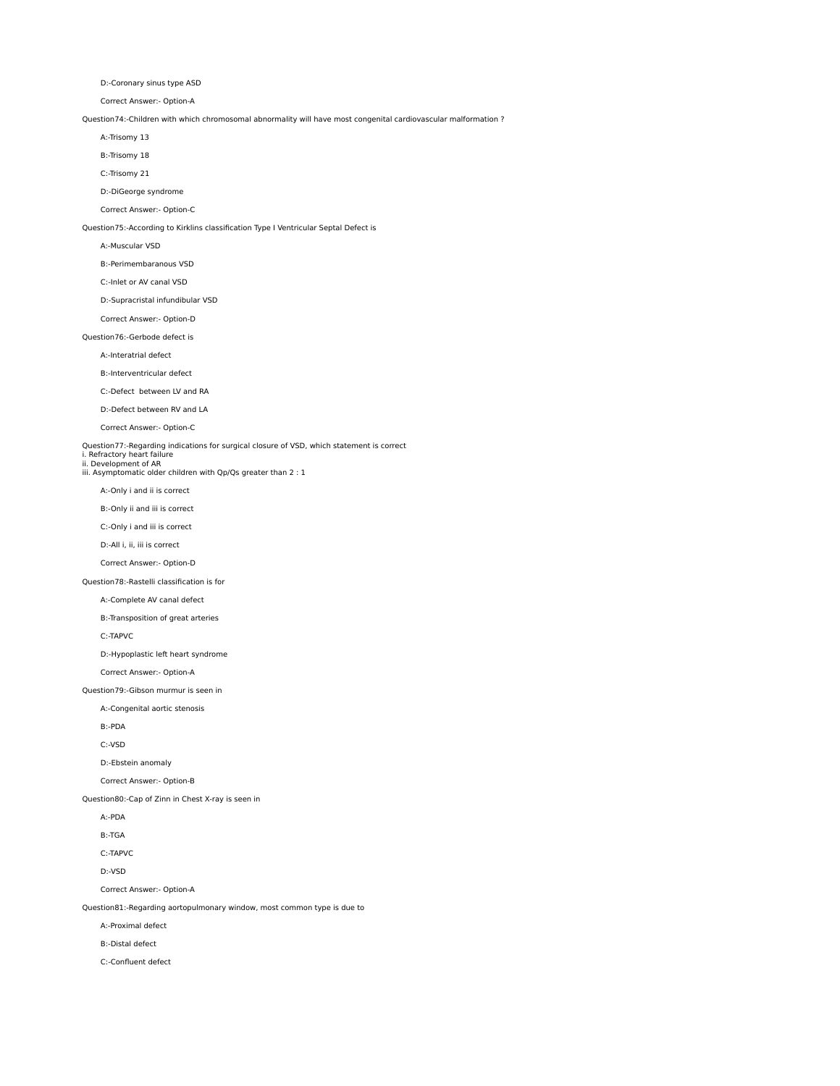D:-Coronary sinus type ASD

Correct Answer:- Option-A

Question74:-Children with which chromosomal abnormality will have most congenital cardiovascular malformation ?

A:-Trisomy 13

B:-Trisomy 18

C:-Trisomy 21

D:-DiGeorge syndrome

Correct Answer:- Option-C

Question75:-According to Kirklins classification Type I Ventricular Septal Defect is

#### A:-Muscular VSD

B:-Perimembaranous VSD

C:-Inlet or AV canal VSD

D:-Supracristal infundibular VSD

Correct Answer:- Option-D

Question76:-Gerbode defect is

A:-Interatrial defect

B:-Interventricular defect

C:-Defect between LV and RA

D:-Defect between RV and LA

Correct Answer:- Option-C

Question77:-Regarding indications for surgical closure of VSD, which statement is correct

i. Refractory heart failure ii. Development of AR iii. Asymptomatic older children with Qp/Qs greater than 2 : 1

A:-Only i and ii is correct

B:-Only ii and iii is correct

C:-Only i and iii is correct

D:-All i, ii, iii is correct

Correct Answer:- Option-D

Question78:-Rastelli classification is for

A:-Complete AV canal defect

B:-Transposition of great arteries

C:-TAPVC

D:-Hypoplastic left heart syndrome

Correct Answer:- Option-A

Question79:-Gibson murmur is seen in

A:-Congenital aortic stenosis

B:-PDA

C:-VSD

D:-Ebstein anomaly

Correct Answer:- Option-B

Question80:-Cap of Zinn in Chest X-ray is seen in

A:-PDA

B:-TGA

C:-TAPVC

D:-VSD

Correct Answer:- Option-A

Question81:-Regarding aortopulmonary window, most common type is due to

A:-Proximal defect

B:-Distal defect

C:-Confluent defect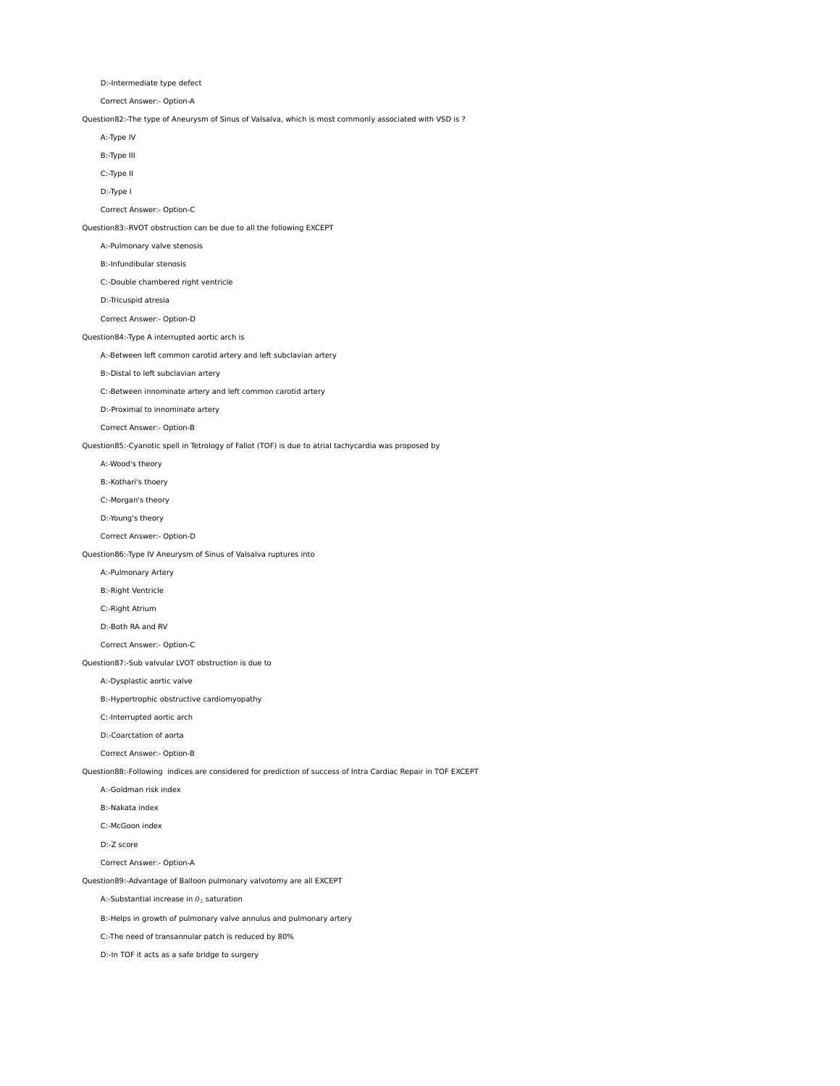D:-Intermediate type defect

Correct Answer:- Option-A

Question82:-The type of Aneurysm of Sinus of Valsalva, which is most commonly associated with VSD is ?

A:-Type IV

B:-Type III

C:-Type II

D:-Type I

Correct Answer:- Option-C

Question83:-RVOT obstruction can be due to all the following EXCEPT

A:-Pulmonary valve stenosis

B:-Infundibular stenosis

C:-Double chambered right ventricle

D:-Tricuspid atresia

Correct Answer:- Option-D

Question84:-Type A interrupted aortic arch is

A:-Between left common carotid artery and left subclavian artery

B:-Distal to left subclavian artery

C:-Between innominate artery and left common carotid artery

D:-Proximal to innominate artery

Correct Answer:- Option-B

Question85:-Cyanotic spell in Tetrology of Fallot (TOF) is due to atrial tachycardia was proposed by

A:-Wood's theory

B:-Kothari's thoery

C:-Morgan's theory

D:-Young's theory

Correct Answer:- Option-D

Question86:-Type IV Aneurysm of Sinus of Valsalva ruptures into

A:-Pulmonary Artery

B:-Right Ventricle

C:-Right Atrium

D:-Both RA and RV

Correct Answer:- Option-C

Question87:-Sub valvular LVOT obstruction is due to

A:-Dysplastic aortic valve

B:-Hypertrophic obstructive cardiomyopathy

C:-Interrupted aortic arch

D:-Coarctation of aorta

Correct Answer:- Option-B

Question88:-Following indices are considered for prediction of success of Intra Cardiac Repair in TOF EXCEPT

A:-Goldman risk index

B:-Nakata index

C:-McGoon index

D:-Z score

Correct Answer:- Option-A

Question89:-Advantage of Balloon pulmonary valvotomy are all EXCEPT

A:-Substantial increase in  $O<sub>2</sub>$  saturation

B:-Helps in growth of pulmonary valve annulus and pulmonary artery

C:-The need of transannular patch is reduced by 80%

D:-In TOF it acts as a safe bridge to surgery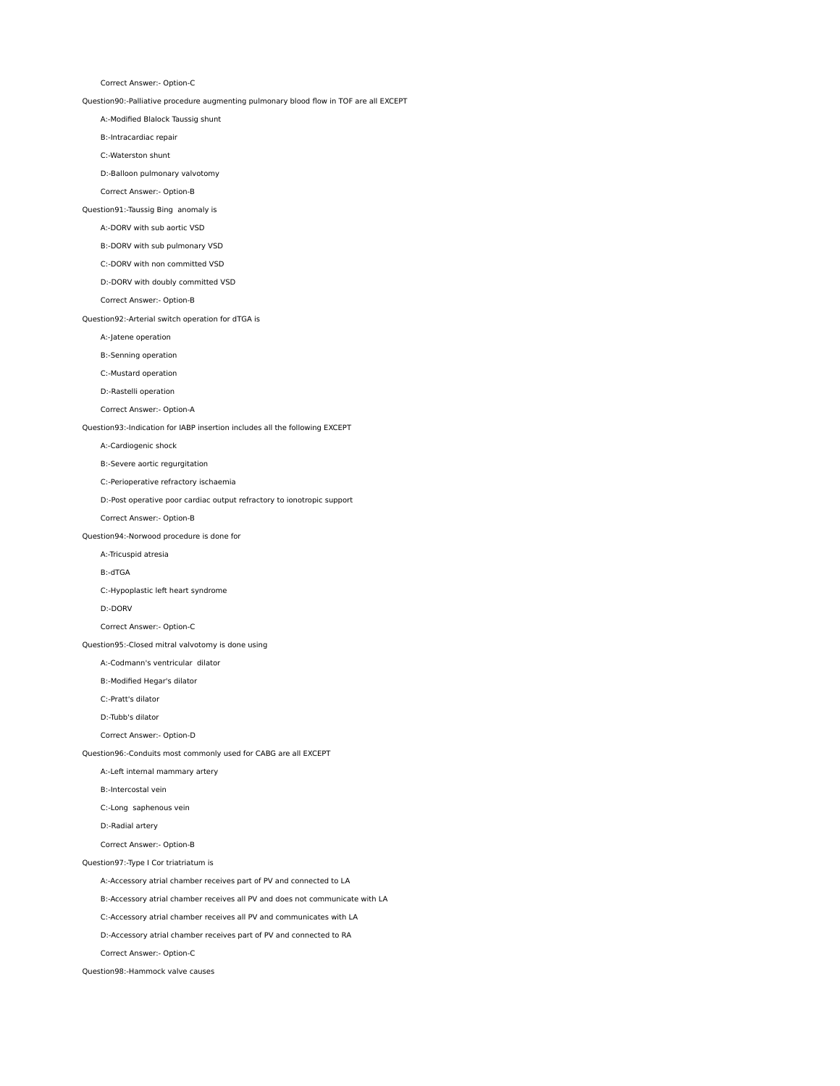Correct Answer:- Option-C

Question90:-Palliative procedure augmenting pulmonary blood flow in TOF are all EXCEPT

A:-Modified Blalock Taussig shunt

B:-Intracardiac repair

C:-Waterston shunt

D:-Balloon pulmonary valvotomy

Correct Answer:- Option-B

Question91:-Taussig Bing anomaly is

A:-DORV with sub aortic VSD

B:-DORV with sub pulmonary VSD

C:-DORV with non committed VSD

D:-DORV with doubly committed VSD

Correct Answer:- Option-B

Question92:-Arterial switch operation for dTGA is

A:-Jatene operation

B:-Senning operation

C:-Mustard operation

D:-Rastelli operation

Correct Answer:- Option-A

Question93:-Indication for IABP insertion includes all the following EXCEPT

A:-Cardiogenic shock

B:-Severe aortic regurgitation

C:-Perioperative refractory ischaemia

D:-Post operative poor cardiac output refractory to ionotropic support

Correct Answer:- Option-B

Question94:-Norwood procedure is done for

A:-Tricuspid atresia

B:-dTGA

C:-Hypoplastic left heart syndrome

D:-DORV

Correct Answer:- Option-C

Question95:-Closed mitral valvotomy is done using

A:-Codmann's ventricular dilator

B:-Modified Hegar's dilator

C:-Pratt's dilator

D:-Tubb's dilator

Correct Answer:- Option-D

Question96:-Conduits most commonly used for CABG are all EXCEPT

A:-Left internal mammary artery

B:-Intercostal vein

C:-Long saphenous vein

D:-Radial artery

Correct Answer:- Option-B

Question97:-Type I Cor triatriatum is

A:-Accessory atrial chamber receives part of PV and connected to LA

B:-Accessory atrial chamber receives all PV and does not communicate with LA

C:-Accessory atrial chamber receives all PV and communicates with LA

D:-Accessory atrial chamber receives part of PV and connected to RA

Correct Answer:- Option-C

Question98:-Hammock valve causes